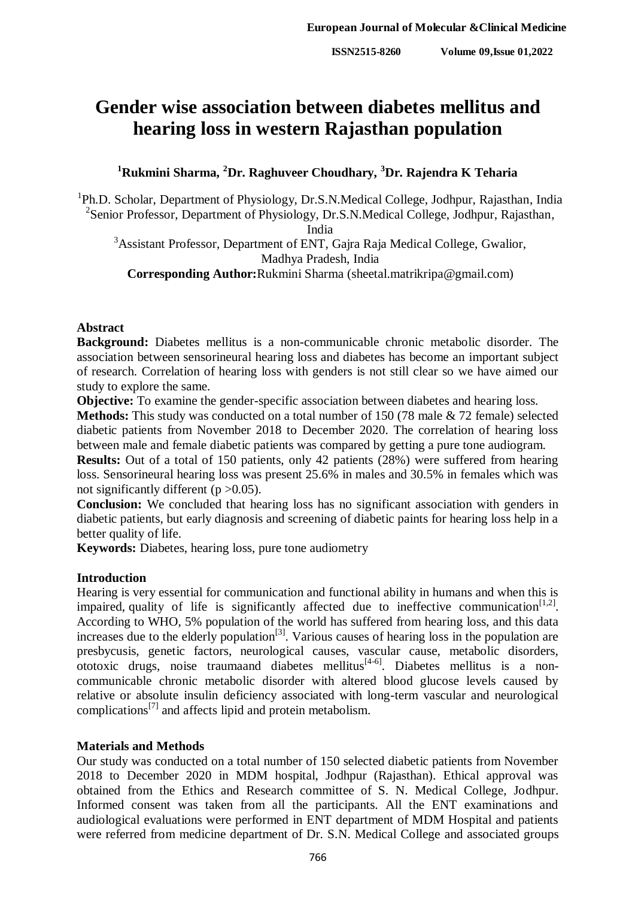# **Gender wise association between diabetes mellitus and hearing loss in western Rajasthan population**

# **<sup>1</sup>Rukmini Sharma, <sup>2</sup>Dr. Raghuveer Choudhary, <sup>3</sup>Dr. Rajendra K Teharia**

<sup>1</sup>Ph.D. Scholar, Department of Physiology, Dr.S.N.Medical College, Jodhpur, Rajasthan, India <sup>2</sup> Senior Professor, Department of Physiology, Dr.S.N.Medical College, Jodhpur, Rajasthan,

India

<sup>3</sup>Assistant Professor, Department of ENT, Gajra Raja Medical College, Gwalior, Madhya Pradesh, India

**Corresponding Author:**Rukmini Sharma (sheetal.matrikripa@gmail.com)

## **Abstract**

**Background:** Diabetes mellitus is a non-communicable chronic metabolic disorder. The association between sensorineural hearing loss and diabetes has become an important subject of research. Correlation of hearing loss with genders is not still clear so we have aimed our study to explore the same.

**Objective:** To examine the gender-specific association between diabetes and hearing loss.

**Methods:** This study was conducted on a total number of 150 (78 male & 72 female) selected diabetic patients from November 2018 to December 2020. The correlation of hearing loss between male and female diabetic patients was compared by getting a pure tone audiogram.

**Results:** Out of a total of 150 patients, only 42 patients (28%) were suffered from hearing loss. Sensorineural hearing loss was present 25.6% in males and 30.5% in females which was not significantly different ( $p > 0.05$ ).

**Conclusion:** We concluded that hearing loss has no significant association with genders in diabetic patients, but early diagnosis and screening of diabetic paints for hearing loss help in a better quality of life.

**Keywords:** Diabetes, hearing loss, pure tone audiometry

### **Introduction**

Hearing is very essential for communication and functional ability in humans and when this is impaired, quality of life is significantly affected due to ineffective communication<sup>[1,2]</sup>. According to WHO, 5% population of the world has suffered from hearing loss, and this data increases due to the elderly population<sup>[3]</sup>. Various causes of hearing loss in the population are presbycusis, genetic factors, neurological causes, vascular cause, metabolic disorders, ototoxic drugs, noise traumaand diabetes mellitus<sup>[4-6]</sup>. Diabetes mellitus is a noncommunicable chronic metabolic disorder with altered blood glucose levels caused by relative or absolute insulin deficiency associated with long-term vascular and neurological complications[7] and affects lipid and protein metabolism.

#### **Materials and Methods**

Our study was conducted on a total number of 150 selected diabetic patients from November 2018 to December 2020 in MDM hospital, Jodhpur (Rajasthan). Ethical approval was obtained from the Ethics and Research committee of S. N. Medical College, Jodhpur. Informed consent was taken from all the participants. All the ENT examinations and audiological evaluations were performed in ENT department of MDM Hospital and patients were referred from medicine department of Dr. S.N. Medical College and associated groups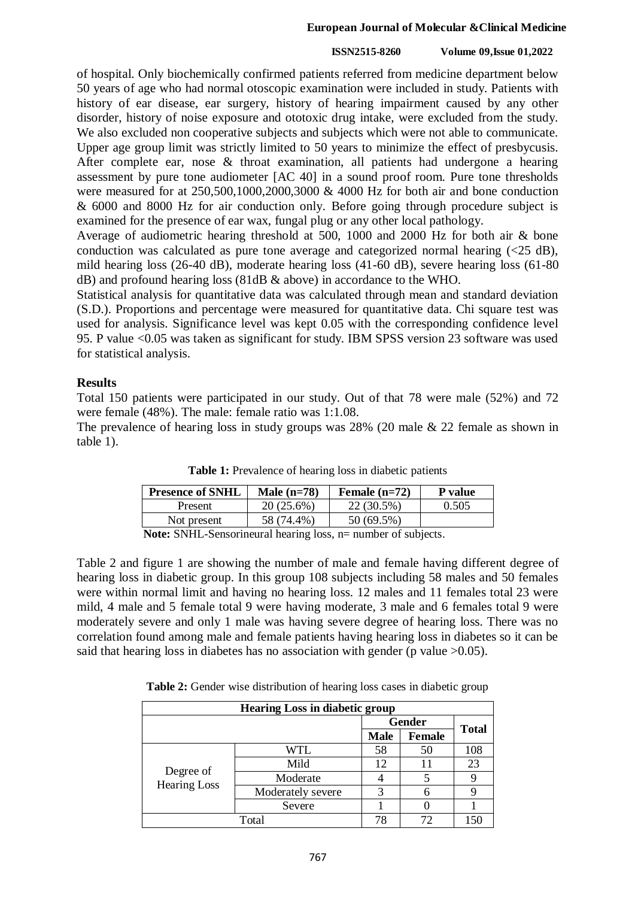#### **ISSN2515-8260 Volume 09,Issue 01,2022**

of hospital. Only biochemically confirmed patients referred from medicine department below 50 years of age who had normal otoscopic examination were included in study. Patients with history of ear disease, ear surgery, history of hearing impairment caused by any other disorder, history of noise exposure and ototoxic drug intake, were excluded from the study. We also excluded non cooperative subjects and subjects which were not able to communicate. Upper age group limit was strictly limited to 50 years to minimize the effect of presbycusis. After complete ear, nose & throat examination, all patients had undergone a hearing assessment by pure tone audiometer [AC 40] in a sound proof room. Pure tone thresholds were measured for at 250,500,1000,2000,3000 & 4000 Hz for both air and bone conduction & 6000 and 8000 Hz for air conduction only. Before going through procedure subject is examined for the presence of ear wax, fungal plug or any other local pathology.

Average of audiometric hearing threshold at 500, 1000 and 2000 Hz for both air & bone conduction was calculated as pure tone average and categorized normal hearing  $(\leq 25 \text{ dB})$ , mild hearing loss (26-40 dB), moderate hearing loss (41-60 dB), severe hearing loss (61-80 dB) and profound hearing loss (81dB & above) in accordance to the WHO.

Statistical analysis for quantitative data was calculated through mean and standard deviation (S.D.). Proportions and percentage were measured for quantitative data. Chi square test was used for analysis. Significance level was kept 0.05 with the corresponding confidence level 95. P value <0.05 was taken as significant for study. IBM SPSS version 23 software was used for statistical analysis.

# **Results**

Total 150 patients were participated in our study. Out of that 78 were male (52%) and 72 were female (48%). The male: female ratio was 1:1.08.

The prevalence of hearing loss in study groups was 28% (20 male & 22 female as shown in table 1).

| <b>Presence of SNHL</b> | Male $(n=78)$ | Female $(n=72)$ | P value |
|-------------------------|---------------|-----------------|---------|
| Present                 | 20 (25.6%)    | 22 (30.5%)      | 0.505   |
| Not present             | 58 (74.4%)    | 50 (69.5%)      |         |

**Table 1:** Prevalence of hearing loss in diabetic patients

**Note:** SNHL-Sensorineural hearing loss, n= number of subjects.

Table 2 and figure 1 are showing the number of male and female having different degree of hearing loss in diabetic group. In this group 108 subjects including 58 males and 50 females were within normal limit and having no hearing loss. 12 males and 11 females total 23 were mild, 4 male and 5 female total 9 were having moderate, 3 male and 6 females total 9 were moderately severe and only 1 male was having severe degree of hearing loss. There was no correlation found among male and female patients having hearing loss in diabetes so it can be said that hearing loss in diabetes has no association with gender (p value  $>0.05$ ).

**Table 2:** Gender wise distribution of hearing loss cases in diabetic group

| <b>Hearing Loss in diabetic group</b> |                   |                                               |    |              |  |
|---------------------------------------|-------------------|-----------------------------------------------|----|--------------|--|
|                                       |                   | <b>Gender</b><br><b>Male</b><br><b>Female</b> |    | <b>Total</b> |  |
|                                       |                   |                                               |    |              |  |
| Degree of<br><b>Hearing Loss</b>      | WTL               | 58                                            | 50 | 108          |  |
|                                       | Mild              | 12                                            | 11 | 23           |  |
|                                       | Moderate          |                                               |    |              |  |
|                                       | Moderately severe | 3                                             | 6  |              |  |
|                                       | Severe            |                                               |    |              |  |
| Total                                 |                   |                                               |    |              |  |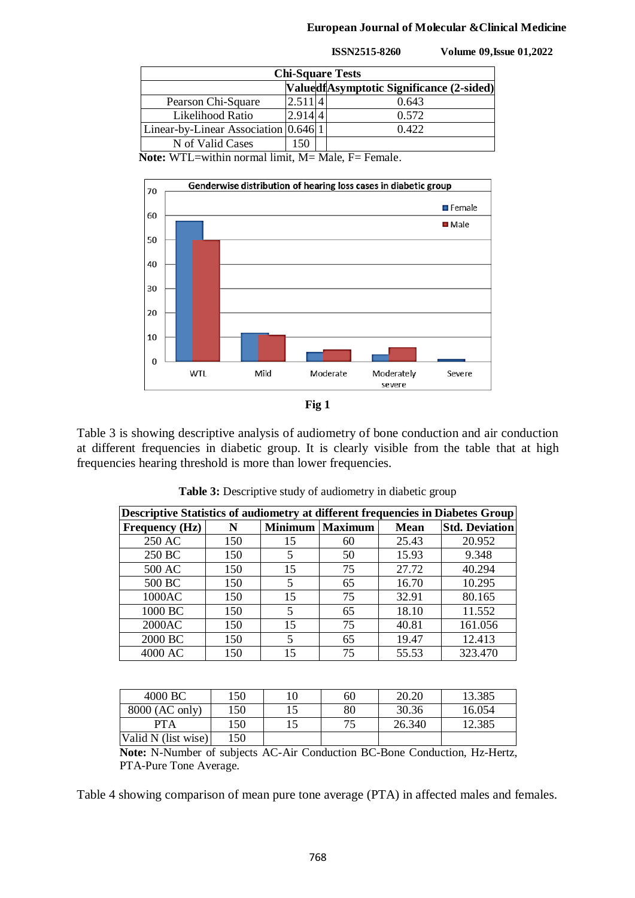|  | <b>ISSN2515-8260</b> |
|--|----------------------|
|  |                      |

**ISSN2515-8260 Volume 09,Issue 01,2022**

| <b>Chi-Square Tests</b>                  |         |  |       |  |  |
|------------------------------------------|---------|--|-------|--|--|
| ValuedfAsymptotic Significance (2-sided) |         |  |       |  |  |
| Pearson Chi-Square                       | 2.51114 |  | 0.643 |  |  |
| Likelihood Ratio                         | 2.9144  |  | 0.572 |  |  |
| Linear-by-Linear Association 0.646 1     |         |  | 0.422 |  |  |
| N of Valid Cases                         | 50      |  |       |  |  |

**Note:** WTL=within normal limit, M= Male, F= Female.



Table 3 is showing descriptive analysis of audiometry of bone conduction and air conduction at different frequencies in diabetic group. It is clearly visible from the table that at high frequencies hearing threshold is more than lower frequencies.

| Descriptive Statistics of audiometry at different frequencies in Diabetes Group |     |                |                |             |                       |
|---------------------------------------------------------------------------------|-----|----------------|----------------|-------------|-----------------------|
| <b>Frequency (Hz)</b>                                                           | N   | <b>Minimum</b> | <b>Maximum</b> | <b>Mean</b> | <b>Std. Deviation</b> |
| 250 AC                                                                          | 150 | 15             | 60             | 25.43       | 20.952                |
| 250 BC                                                                          | 150 | 5              | 50             | 15.93       | 9.348                 |
| 500 AC                                                                          | 150 | 15             | 75             | 27.72       | 40.294                |
| 500 BC                                                                          | 150 | 5              | 65             | 16.70       | 10.295                |
| 1000AC                                                                          | 150 | 15             | 75             | 32.91       | 80.165                |
| 1000 BC                                                                         | 150 | 5              | 65             | 18.10       | 11.552                |
| 2000AC                                                                          | 150 | 15             | 75             | 40.81       | 161.056               |
| 2000 BC                                                                         | 150 | 5              | 65             | 19.47       | 12.413                |
| 4000 AC                                                                         | 150 | 15             | 75             | 55.53       | 323.470               |

Table 3: Descriptive study of audiometry in diabetic group

| 4000 BC             | 150 | 10 | 60 | 20.20  | 13.385 |
|---------------------|-----|----|----|--------|--------|
| 8000 (AC only)      | 150 |    | 80 | 30.36  | 16.054 |
| <b>PTA</b>          | 150 |    |    | 26.340 | 12.385 |
| Valid N (list wise) | 150 |    |    |        |        |

**Note:** N-Number of subjects AC-Air Conduction BC-Bone Conduction, Hz-Hertz, PTA-Pure Tone Average.

Table 4 showing comparison of mean pure tone average (PTA) in affected males and females.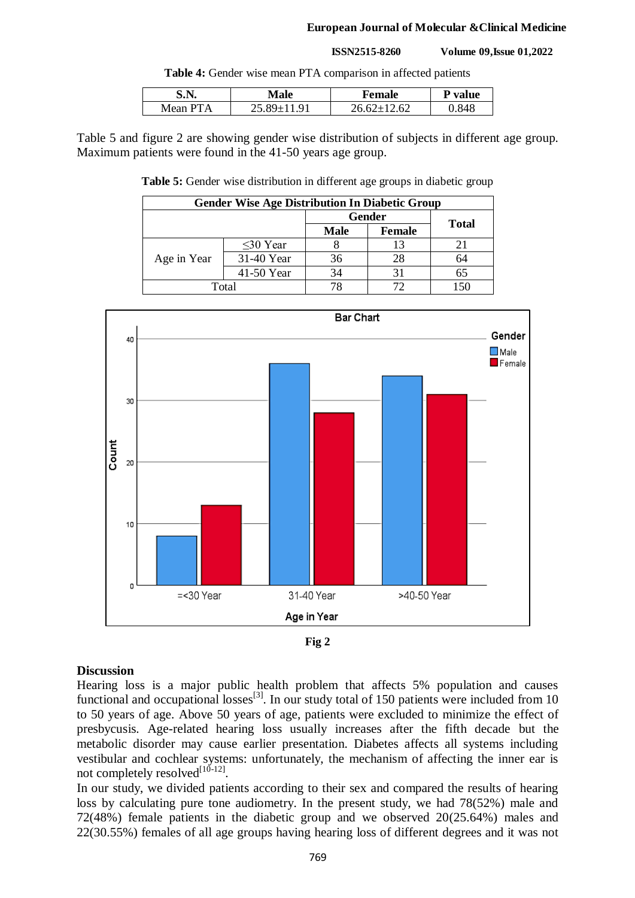#### **ISSN2515-8260 Volume 09,Issue 01,2022**

**Table 4:** Gender wise mean PTA comparison in affected patients

| E N<br>5.LV. | Male           | Female | D<br>value |
|--------------|----------------|--------|------------|
| Mean         | Q <sub>1</sub> | .2.62  | -845       |

Table 5 and figure 2 are showing gender wise distribution of subjects in different age group. Maximum patients were found in the 41-50 years age group.

**Table 5:** Gender wise distribution in different age groups in diabetic group

| <b>Gender Wise Age Distribution In Diabetic Group</b> |                |               |               |              |  |  |
|-------------------------------------------------------|----------------|---------------|---------------|--------------|--|--|
|                                                       |                | <b>Gender</b> |               |              |  |  |
|                                                       |                | <b>Male</b>   | <b>Female</b> | <b>Total</b> |  |  |
|                                                       | $\leq$ 30 Year |               | 13            |              |  |  |
| Age in Year                                           | 31-40 Year     | 36            | 28            | 64           |  |  |
|                                                       | 41-50 Year     | 34            | 31            | 65           |  |  |
| Total                                                 |                |               |               |              |  |  |





## **Discussion**

Hearing loss is a major public health problem that affects 5% population and causes functional and occupational losses<sup>[3]</sup>. In our study total of 150 patients were included from 10 to 50 years of age. Above 50 years of age, patients were excluded to minimize the effect of presbycusis. Age-related hearing loss usually increases after the fifth decade but the metabolic disorder may cause earlier presentation. Diabetes affects all systems including vestibular and cochlear systems: unfortunately, the mechanism of affecting the inner ear is not completely resolved $^{[10-12]}$ .

In our study, we divided patients according to their sex and compared the results of hearing loss by calculating pure tone audiometry. In the present study, we had 78(52%) male and 72(48%) female patients in the diabetic group and we observed 20(25.64%) males and 22(30.55%) females of all age groups having hearing loss of different degrees and it was not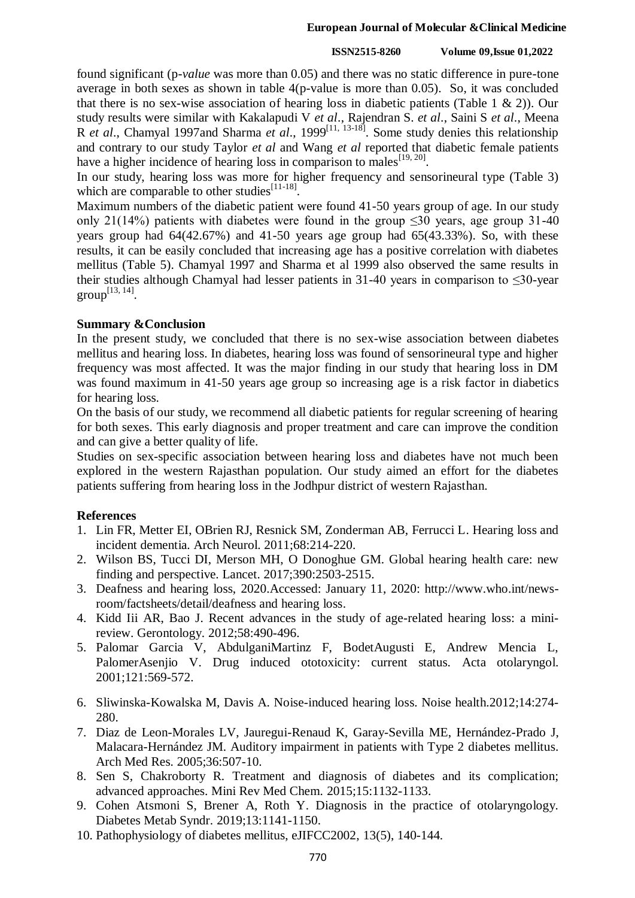#### **ISSN2515-8260 Volume 09,Issue 01,2022**

found significant (p*-value* was more than 0.05) and there was no static difference in pure-tone average in both sexes as shown in table 4(p-value is more than 0.05). So, it was concluded that there is no sex-wise association of hearing loss in diabetic patients (Table 1  $\&$  2)). Our study results were similar with Kakalapudi V *et al*., Rajendran S. *et al*., Saini S *et al*., Meena R *et al.*, Chamyal 1997 and Sharma *et al.*, 1999<sup>[11, 13-18]</sub>. Some study denies this relationship</sup> and contrary to our study Taylor *et al* and Wang *et al* reported that diabetic female patients have a higher incidence of hearing loss in comparison to males $^{[19, 20]}$ .

In our study, hearing loss was more for higher frequency and sensorineural type (Table 3) which are comparable to other studies<sup>[11-18]</sup>.

Maximum numbers of the diabetic patient were found 41-50 years group of age. In our study only 21(14%) patients with diabetes were found in the group  $\leq 30$  years, age group 31-40 years group had 64(42.67%) and 41-50 years age group had 65(43.33%). So, with these results, it can be easily concluded that increasing age has a positive correlation with diabetes mellitus (Table 5). Chamyal 1997 and Sharma et al 1999 also observed the same results in their studies although Chamyal had lesser patients in 31-40 years in comparison to  $\leq$ 30-year  $group^{[13, 14]}$ .

# **Summary &Conclusion**

In the present study, we concluded that there is no sex-wise association between diabetes mellitus and hearing loss. In diabetes, hearing loss was found of sensorineural type and higher frequency was most affected. It was the major finding in our study that hearing loss in DM was found maximum in 41-50 years age group so increasing age is a risk factor in diabetics for hearing loss.

On the basis of our study, we recommend all diabetic patients for regular screening of hearing for both sexes. This early diagnosis and proper treatment and care can improve the condition and can give a better quality of life.

Studies on sex-specific association between hearing loss and diabetes have not much been explored in the western Rajasthan population. Our study aimed an effort for the diabetes patients suffering from hearing loss in the Jodhpur district of western Rajasthan.

# **References**

- 1. Lin FR, Metter EI, OBrien RJ, Resnick SM, Zonderman AB, Ferrucci L. Hearing loss and incident dementia. Arch Neurol. 2011;68:214-220.
- 2. Wilson BS, Tucci DI, Merson MH, O Donoghue GM. Global hearing health care: new finding and perspective. Lancet. 2017;390:2503-2515.
- 3. Deafness and hearing loss, 2020.Accessed: January 11, 2020: http://www.who.int/newsroom/factsheets/detail/deafness and hearing loss.
- 4. Kidd Iii AR, Bao J. Recent advances in the study of age-related hearing loss: a minireview. Gerontology. 2012;58:490-496.
- 5. Palomar Garcia V, AbdulganiMartinz F, BodetAugusti E, Andrew Mencia L, PalomerAsenjio V. Drug induced ototoxicity: current status. Acta otolaryngol. 2001;121:569-572.
- 6. Sliwinska-Kowalska M, Davis A. Noise-induced hearing loss. Noise health.2012;14:274- 280.
- 7. Diaz de Leon-Morales LV, Jauregui-Renaud K, Garay-Sevilla ME, Hernández-Prado J, Malacara-Hernández JM. Auditory impairment in patients with Type 2 diabetes mellitus. Arch Med Res. 2005;36:507-10.
- 8. Sen S, Chakroborty R. Treatment and diagnosis of diabetes and its complication; advanced approaches. Mini Rev Med Chem. 2015;15:1132-1133.
- 9. Cohen Atsmoni S, Brener A, Roth Y. Diagnosis in the practice of otolaryngology. Diabetes Metab Syndr. 2019;13:1141-1150.
- 10. Pathophysiology of diabetes mellitus, eJIFCC2002, 13(5), 140-144.